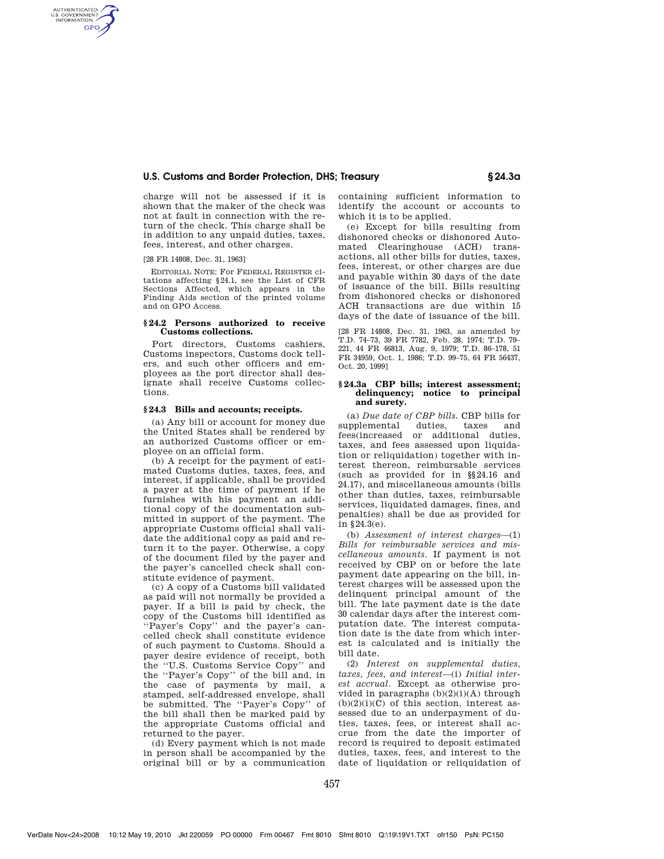# **U.S. Customs and Border Protection, DHS; Treasury § 24.3a**

charge will not be assessed if it is shown that the maker of the check was not at fault in connection with the return of the check. This charge shall be in addition to any unpaid duties, taxes, fees, interest, and other charges.

[28 FR 14808, Dec. 31, 1963]

AUTHENTICATED<br>U.S. GOVERNMENT<br>INFORMATION **GPO** 

> EDITORIAL NOTE: For FEDERAL REGISTER citations affecting §24.1, see the List of CFR Sections Affected, which appears in the Finding Aids section of the printed volume and on GPO Access.

### **§ 24.2 Persons authorized to receive Customs collections.**

Port directors, Customs cashiers, Customs inspectors, Customs dock tellers, and such other officers and employees as the port director shall designate shall receive Customs collections.

## **§ 24.3 Bills and accounts; receipts.**

(a) Any bill or account for money due the United States shall be rendered by an authorized Customs officer or employee on an official form.

(b) A receipt for the payment of estimated Customs duties, taxes, fees, and interest, if applicable, shall be provided a payer at the time of payment if he furnishes with his payment an additional copy of the documentation submitted in support of the payment. The appropriate Customs official shall validate the additional copy as paid and return it to the payer. Otherwise, a copy of the document filed by the payer and the payer's cancelled check shall constitute evidence of payment.

(c) A copy of a Customs bill validated as paid will not normally be provided a payer. If a bill is paid by check, the copy of the Customs bill identified as ''Payer's Copy'' and the payer's cancelled check shall constitute evidence of such payment to Customs. Should a payer desire evidence of receipt, both the ''U.S. Customs Service Copy'' and the ''Payer's Copy'' of the bill and, in the case of payments by mail, a stamped, self-addressed envelope, shall be submitted. The ''Payer's Copy'' of the bill shall then be marked paid by the appropriate Customs official and returned to the payer.

(d) Every payment which is not made in person shall be accompanied by the original bill or by a communication containing sufficient information to identify the account or accounts to which it is to be applied.

(e) Except for bills resulting from dishonored checks or dishonored Automated Clearinghouse (ACH) transactions, all other bills for duties, taxes, fees, interest, or other charges are due and payable within 30 days of the date of issuance of the bill. Bills resulting from dishonored checks or dishonored ACH transactions are due within 15 days of the date of issuance of the bill.

[28 FR 14808, Dec. 31, 1963, as amended by T.D. 74–73, 39 FR 7782, Feb. 28, 1974; T.D. 79– 221, 44 FR 46813, Aug. 9, 1979; T.D. 86–178, 51 FR 34959, Oct. 1, 1986; T.D. 99–75, 64 FR 56437, Oct. 20, 1999]

### **§ 24.3a CBP bills; interest assessment; delinquency; notice to principal and surety.**

(a) *Due date of CBP bills.* CBP bills for supplemental duties, taxes and fees(increased or additional duties, taxes, and fees assessed upon liquidation or reliquidation) together with interest thereon, reimbursable services (such as provided for in §§24.16 and 24.17), and miscellaneous amounts (bills other than duties, taxes, reimbursable services, liquidated damages, fines, and penalties) shall be due as provided for in §24.3(e).

(b) *Assessment of interest charges*—(1) *Bills for reimbursable services and miscellaneous amounts.* If payment is not received by CBP on or before the late payment date appearing on the bill, interest charges will be assessed upon the delinquent principal amount of the bill. The late payment date is the date 30 calendar days after the interest computation date. The interest computation date is the date from which interest is calculated and is initially the bill date.

(2) *Interest on supplemental duties, taxes, fees, and interest*—(i) *Initial interest accrual.* Except as otherwise provided in paragraphs  $(b)(2)(i)(A)$  through  $(b)(2)(i)(C)$  of this section, interest assessed due to an underpayment of duties, taxes, fees, or interest shall accrue from the date the importer of record is required to deposit estimated duties, taxes, fees, and interest to the date of liquidation or reliquidation of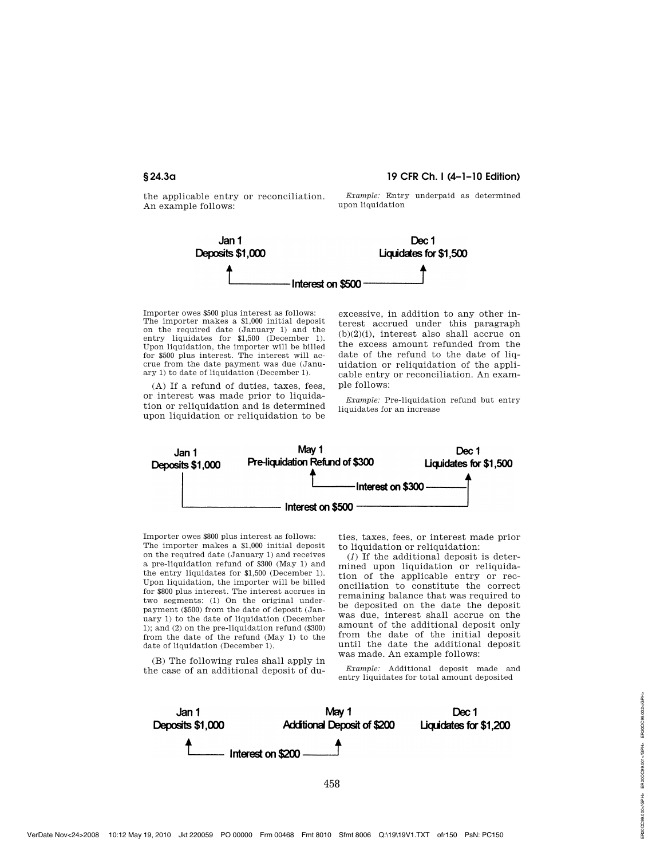**§ 24.3a 19 CFR Ch. I (4–1–10 Edition)** 

the applicable entry or reconciliation. An example follows:

*Example:* Entry underpaid as determined upon liquidation



Importer owes \$500 plus interest as follows: The importer makes a \$1,000 initial deposit on the required date (January 1) and the entry liquidates for \$1,500 (December 1). Upon liquidation, the importer will be billed for \$500 plus interest. The interest will accrue from the date payment was due (January 1) to date of liquidation (December 1).

(A) If a refund of duties, taxes, fees, or interest was made prior to liquidation or reliquidation and is determined upon liquidation or reliquidation to be excessive, in addition to any other interest accrued under this paragraph (b)(2)(i), interest also shall accrue on the excess amount refunded from the date of the refund to the date of liquidation or reliquidation of the applicable entry or reconciliation. An example follows:

*Example:* Pre-liquidation refund but entry liquidates for an increase



Importer owes \$800 plus interest as follows: The importer makes a \$1,000 initial deposit on the required date (January 1) and receives a pre-liquidation refund of \$300 (May 1) and the entry liquidates for \$1,500 (December 1). Upon liquidation, the importer will be billed for \$800 plus interest. The interest accrues in two segments: (1) On the original underpayment (\$500) from the date of deposit (January 1) to the date of liquidation (December 1); and (2) on the pre-liquidation refund (\$300) from the date of the refund (May 1) to the date of liquidation (December 1).

(B) The following rules shall apply in the case of an additional deposit of duties, taxes, fees, or interest made prior to liquidation or reliquidation:

(*1*) If the additional deposit is determined upon liquidation or reliquidation of the applicable entry or reconciliation to constitute the correct remaining balance that was required to be deposited on the date the deposit was due, interest shall accrue on the amount of the additional deposit only from the date of the initial deposit until the date the additional deposit was made. An example follows:

*Example:* Additional deposit made and entry liquidates for total amount deposited

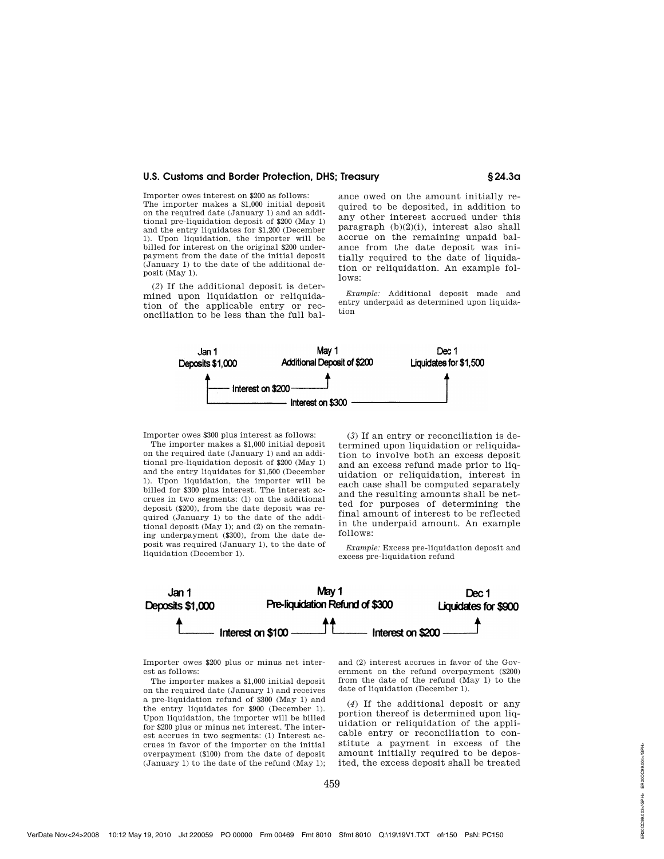### **U.S. Customs and Border Protection, DHS; Treasury § 24.3a**

Importer owes interest on \$200 as follows: The importer makes a \$1,000 initial deposit on the required date (January 1) and an additional pre-liquidation deposit of \$200 (May 1) and the entry liquidates for \$1,200 (December 1). Upon liquidation, the importer will be billed for interest on the original \$200 underpayment from the date of the initial deposit (January 1) to the date of the additional deposit (May 1).

(*2*) If the additional deposit is determined upon liquidation or reliquidation of the applicable entry or reconciliation to be less than the full bal-

ance owed on the amount initially required to be deposited, in addition to any other interest accrued under this paragraph (b)(2)(i), interest also shall accrue on the remaining unpaid balance from the date deposit was initially required to the date of liquidation or reliquidation. An example follows:

*Example:* Additional deposit made and entry underpaid as determined upon liquidation



Importer owes \$300 plus interest as follows:

The importer makes a \$1,000 initial deposit on the required date (January 1) and an additional pre-liquidation deposit of \$200 (May 1) and the entry liquidates for \$1,500 (December 1). Upon liquidation, the importer will be billed for \$300 plus interest. The interest accrues in two segments: (1) on the additional deposit (\$200), from the date deposit was required (January 1) to the date of the additional deposit (May 1); and (2) on the remaining underpayment (\$300), from the date deposit was required (January 1), to the date of liquidation (December 1).

(*3*) If an entry or reconciliation is determined upon liquidation or reliquidation to involve both an excess deposit and an excess refund made prior to liquidation or reliquidation, interest in each case shall be computed separately and the resulting amounts shall be netted for purposes of determining the final amount of interest to be reflected in the underpaid amount. An example follows:

*Example:* Excess pre-liquidation deposit and excess pre-liquidation refund



Importer owes \$200 plus or minus net interest as follows:

The importer makes a \$1,000 initial deposit on the required date (January 1) and receives a pre-liquidation refund of \$300 (May 1) and the entry liquidates for \$900 (December 1). Upon liquidation, the importer will be billed for \$200 plus or minus net interest. The interest accrues in two segments: (1) Interest accrues in favor of the importer on the initial overpayment (\$100) from the date of deposit (January 1) to the date of the refund (May 1);

and (2) interest accrues in favor of the Government on the refund overpayment (\$200) from the date of the refund (May 1) to the date of liquidation (December 1).

(*4*) If the additional deposit or any portion thereof is determined upon liquidation or reliquidation of the applicable entry or reconciliation to constitute a payment in excess of the amount initially required to be deposited, the excess deposit shall be treated